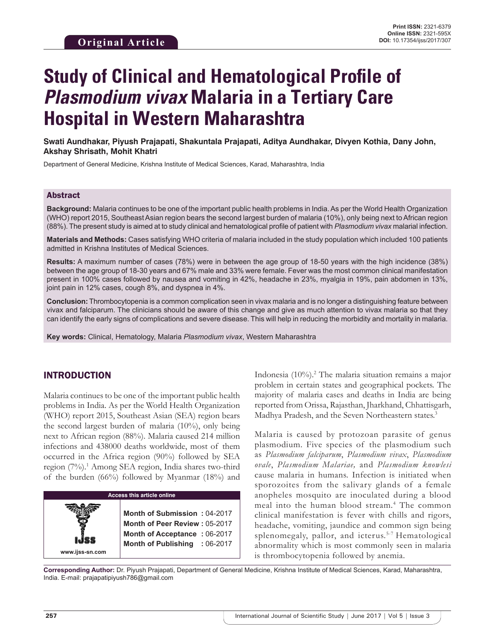# **Study of Clinical and Hematological Profile of**  *Plasmodium vivax* **Malaria in a Tertiary Care Hospital in Western Maharashtra**

**Swati Aundhakar, Piyush Prajapati, Shakuntala Prajapati, Aditya Aundhakar, Divyen Kothia, Dany John, Akshay Shrisath, Mohit Khatri**

Department of General Medicine, Krishna Institute of Medical Sciences, Karad, Maharashtra, India

## Abstract

**Background:** Malaria continues to be one of the important public health problems in India. As per the World Health Organization (WHO) report 2015, Southeast Asian region bears the second largest burden of malaria (10%), only being next to African region (88%). The present study is aimed at to study clinical and hematological profile of patient with *Plasmodium vivax* malarial infection.

**Materials and Methods:** Cases satisfying WHO criteria of malaria included in the study population which included 100 patients admitted in Krishna Institutes of Medical Sciences.

**Results:** A maximum number of cases (78%) were in between the age group of 18-50 years with the high incidence (38%) between the age group of 18-30 years and 67% male and 33% were female. Fever was the most common clinical manifestation present in 100% cases followed by nausea and vomiting in 42%, headache in 23%, myalgia in 19%, pain abdomen in 13%, joint pain in 12% cases, cough 8%, and dyspnea in 4%.

**Conclusion:** Thrombocytopenia is a common complication seen in vivax malaria and is no longer a distinguishing feature between vivax and falciparum. The clinicians should be aware of this change and give as much attention to vivax malaria so that they can identify the early signs of complications and severe disease. This will help in reducing the morbidity and mortality in malaria.

**Key words:** Clinical, Hematology, Malaria *Plasmodium vivax*, Western Maharashtra

# INTRODUCTION

Malaria continues to be one of the important public health problems in India. As per the World Health Organization (WHO) report 2015, Southeast Asian (SEA) region bears the second largest burden of malaria (10%), only being next to African region (88%). Malaria caused 214 million infections and 438000 deaths worldwide, most of them occurred in the Africa region (90%) followed by SEA region (7%).<sup>1</sup> Among SEA region, India shares two-third of the burden (66%) followed by Myanmar (18%) and

| <b>Access this article online</b> |                                                                                                                                       |  |  |  |
|-----------------------------------|---------------------------------------------------------------------------------------------------------------------------------------|--|--|--|
| www.ijss-sn.com                   | Month of Submission: 04-2017<br><b>Month of Peer Review: 05-2017</b><br>Month of Acceptance: 06-2017<br>Month of Publishing : 06-2017 |  |  |  |

Indonesia (10%).2 The malaria situation remains a major problem in certain states and geographical pockets. The majority of malaria cases and deaths in India are being reported from Orissa, Rajasthan, Jharkhand, Chhattisgarh, Madhya Pradesh, and the Seven Northeastern states.<sup>3</sup>

Malaria is caused by protozoan parasite of genus plasmodium. Five species of the plasmodium such as *Plasmodium falciparum*, *Plasmodium vivax*, *Plasmodium ovale*, *Plasmodium Malariae,* and *Plasmodium knowlesi* cause malaria in humans. Infection is initiated when sporozoites from the salivary glands of a female anopheles mosquito are inoculated during a blood meal into the human blood stream.4 The common clinical manifestation is fever with chills and rigors, headache, vomiting, jaundice and common sign being splenomegaly, pallor, and icterus.<sup>5-7</sup> Hematological abnormality which is most commonly seen in malaria is thrombocytopenia followed by anemia.

**Corresponding Author:** Dr. Piyush Prajapati, Department of General Medicine, Krishna Institute of Medical Sciences, Karad, Maharashtra, India. E-mail: prajapatipiyush786@gmail.com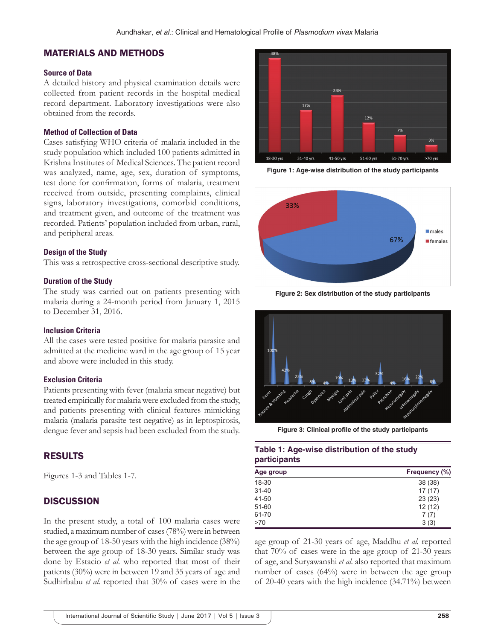# MATERIALS AND METHODS

#### **Source of Data**

A detailed history and physical examination details were collected from patient records in the hospital medical record department. Laboratory investigations were also obtained from the records.

#### **Method of Collection of Data**

Cases satisfying WHO criteria of malaria included in the study population which included 100 patients admitted in Krishna Institutes of Medical Sciences. The patient record was analyzed, name, age, sex, duration of symptoms, test done for confirmation, forms of malaria, treatment received from outside, presenting complaints, clinical signs, laboratory investigations, comorbid conditions, and treatment given, and outcome of the treatment was recorded. Patients' population included from urban, rural, and peripheral areas.

#### **Design of the Study**

This was a retrospective cross-sectional descriptive study.

#### **Duration of the Study**

The study was carried out on patients presenting with malaria during a 24-month period from January 1, 2015 to December 31, 2016.

#### **Inclusion Criteria**

All the cases were tested positive for malaria parasite and admitted at the medicine ward in the age group of 15 year and above were included in this study.

#### **Exclusion Criteria**

Patients presenting with fever (malaria smear negative) but treated empirically for malaria were excluded from the study, and patients presenting with clinical features mimicking malaria (malaria parasite test negative) as in leptospirosis, dengue fever and sepsis had been excluded from the study.

### RESULTS

Figures 1-3 and Tables 1-7.

## **DISCUSSION**

In the present study, a total of 100 malaria cases were studied, a maximum number of cases (78%) were in between the age group of 18-50 years with the high incidence (38%) between the age group of 18-30 years. Similar study was done by Estacio *et al.* who reported that most of their patients (30%) were in between 19 and 35 years of age and Sudhirbabu *et al.* reported that 30% of cases were in the



**Figure 1: Age-wise distribution of the study participants**



**Figure 2: Sex distribution of the study participants**



**Figure 3: Clinical profile of the study participants**

## **Table 1: Age-wise distribution of the study participants**

| Age group | Frequency (%) |
|-----------|---------------|
| 18-30     | 38 (38)       |
| $31 - 40$ | 17(17)        |
| 41-50     | 23(23)        |
| $51 - 60$ | 12(12)        |
| 61-70     | 7(7)          |
| >70       | 3(3)          |

age group of 21-30 years of age, Maddhu *et al.* reported that 70% of cases were in the age group of 21-30 years of age, and Suryawanshi *et al.* also reported that maximum number of cases (64%) were in between the age group of 20-40 years with the high incidence (34.71%) between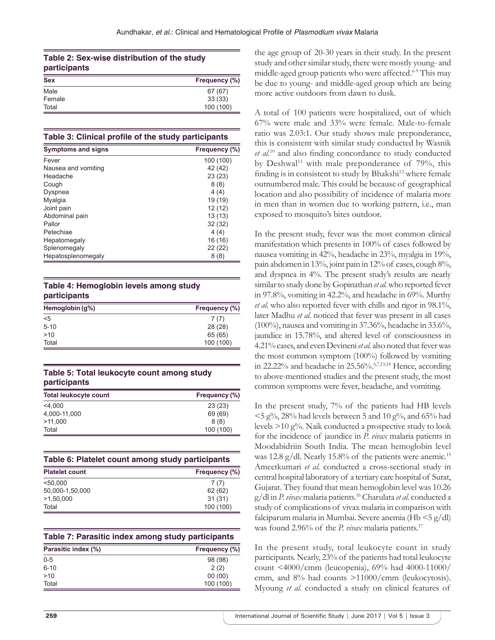## **Table 2: Sex-wise distribution of the study participants**

| <b>Sex</b> | Frequency (%) |
|------------|---------------|
| Male       | 67 (67)       |
| Female     | 33(33)        |
| Total      | 100 (100)     |

#### **Table 3: Clinical profile of the study participants**

| <b>Symptoms and signs</b> | Frequency (%) |
|---------------------------|---------------|
| Fever                     | 100 (100)     |
| Nausea and vomiting       | 42 (42)       |
| Headache                  | 23(23)        |
| Cough                     | 8(8)          |
| Dyspnea                   | 4(4)          |
| Myalgia                   | 19 (19)       |
| Joint pain                | 12 (12)       |
| Abdominal pain            | 13(13)        |
| Pallor                    | 32(32)        |
| Petechiae                 | 4(4)          |
| Hepatomegaly              | 16 (16)       |
| Splenomegaly              | 22 (22)       |
| Hepatosplenomegaly        | 8(8)          |

## **Table 4: Hemoglobin levels among study participants**

| Hemoglobin (g%) | Frequency (%) |  |  |
|-----------------|---------------|--|--|
| $<$ 5           | 7(7)          |  |  |
| $5 - 10$        | 28(28)        |  |  |
| >10             | 65 (65)       |  |  |
| Total           | 100 (100)     |  |  |

## **Table 5: Total leukocyte count among study participants**

| <b>Total leukocyte count</b> | Frequency (%) |
|------------------------------|---------------|
| $<$ 4.000                    | 23(23)        |
| 4,000-11,000                 | 69 (69)       |
| >11.000                      | 8(8)          |
| Total                        | 100 (100)     |

|  |  |  |  |  | Table 6: Platelet count among study participants |
|--|--|--|--|--|--------------------------------------------------|
|--|--|--|--|--|--------------------------------------------------|

| <b>Platelet count</b> | Frequency (%) |
|-----------------------|---------------|
| < 50.000              | 7(7)          |
| 50,000-1,50,000       | 62 (62)       |
| >1,50,000             | 31(31)        |
| Total                 | 100 (100)     |

|  |  |  |  |  | Table 7: Parasitic index among study participants |
|--|--|--|--|--|---------------------------------------------------|
|--|--|--|--|--|---------------------------------------------------|

| Parasitic index (%) | Frequency (%) |  |  |
|---------------------|---------------|--|--|
| $0 - 5$             | 98 (98)       |  |  |
| $6 - 10$            | 2(2)          |  |  |
| >10                 | 00(00)        |  |  |
| Total               | 100 (100)     |  |  |

the age group of 20-30 years in their study. In the present study and other similar study, there were mostly young- and middle-aged group patients who were affected.<sup>6-9</sup> This may be due to young- and middle-aged group which are being more active outdoors from dawn to dusk.

A total of 100 patients were hospitalized, out of which 67% were male and 33% were female. Male-to-female ratio was 2.03:1. Our study shows male preponderance, this is consistent with similar study conducted by Wasnik *et al.*<sup>10</sup> and also finding concordance to study conducted by Deshwal<sup>11</sup> with male preponderance of  $79\%$ , this finding is in consistent to study by Bhakshi<sup>12</sup> where female outnumbered male. This could be because of geographical location and also possibility of incidence of malaria more in men than in women due to working pattern, i.e., man exposed to mosquito's bites outdoor.

In the present study, fever was the most common clinical manifestation which presents in 100% of cases followed by nausea vomiting in 42%, headache in 23%, myalgia in 19%, pain abdomen in 13%, joint pain in 12% of cases, cough 8%, and dyspnea in 4%. The present study's results are nearly similar to study done by Gopinathan *et al.* who reported fever in 97.8%, vomiting in 42.2%, and headache in 69%. Murthy *et al.* who also reported fever with chills and rigor in 98.1%, later Madhu *et al.* noticed that fever was present in all cases (100%), nausea and vomiting in 37.36%, headache in 33.6%, jaundice in 15.78%, and altered level of consciousness in 4.21% cases, and even Devineni *et al.* also noted that fever was the most common symptom (100%) followed by vomiting in 22.22% and headache in 25.56%. $67,13,14$  Hence, according to above-mentioned studies and the present study, the most common symptoms were fever, headache, and vomiting.

In the present study, 7% of the patients had HB levels  $<$  5 g%, 28% had levels between 5 and 10 g%, and 65% had levels  $>10$  g%. Naik conducted a prospective study to look for the incidence of jaundice in *P. vivax* malaria patients in Moodabidriin South India. The mean hemoglobin level was 12.8 g/dl. Nearly 15.8% of the patients were anemic.<sup>15</sup> Ameetkumari *et al.* conducted a cross-sectional study in central hospital laboratory of a tertiary care hospital of Surat, Gujarat. They found that mean hemoglobin level was 10.26 g/dl in *P.vivax* malaria patients.16 Charulata *et al.* conducted a study of complications of vivax malaria in comparison with falciparum malaria in Mumbai. Severe anemia (Hb <5 g/dl) was found 2.96% of the *P. vivax* malaria patients.<sup>17</sup>

In the present study, total leukocyte count in study participants. Nearly, 23% of the patients had total leukocyte count <4000/cmm (leucopenia), 69% had 4000-11000/ cmm, and 8% had counts >11000/cmm (leukocytosis). Myoung *et al.* conducted a study on clinical features of